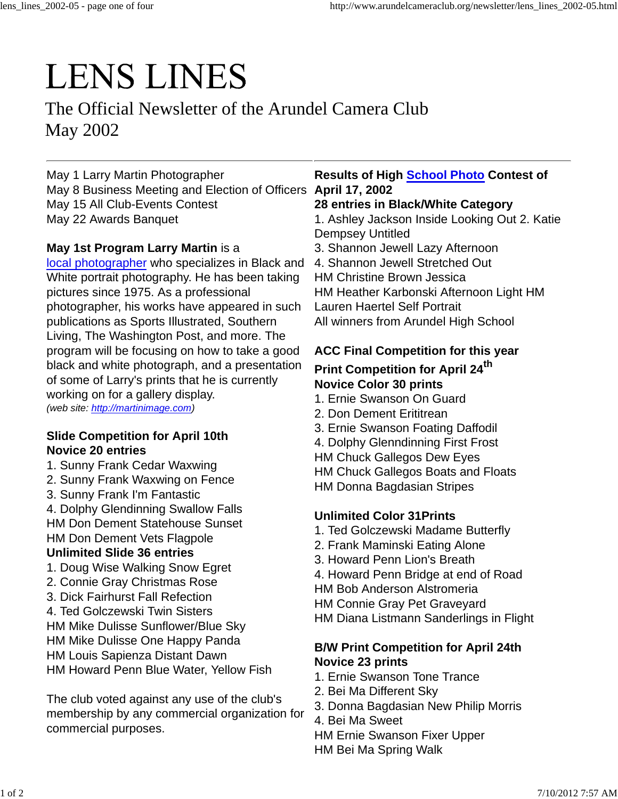# **LENS LINES**

The Official Newsletter of the Arundel Camera Club May 2002

May 1 Larry Martin Photographer May 8 Business Meeting and Election of Officers **April 17, 2002** May 15 All Club-Events Contest May 22 Awards Banquet

# **May 1st Program Larry Martin** is a

local photographer who specializes in Black and White portrait photography. He has been taking pictures since 1975. As a professional photographer, his works have appeared in such publications as Sports Illustrated, Southern Living, The Washington Post, and more. The program will be focusing on how to take a good black and white photograph, and a presentation of some of Larry's prints that he is currently working on for a gallery display. *(web site: http://martinimage.com)*

#### **Slide Competition for April 10th Novice 20 entries**

- 1. Sunny Frank Cedar Waxwing
- 2. Sunny Frank Waxwing on Fence
- 3. Sunny Frank I'm Fantastic
- 4. Dolphy Glendinning Swallow Falls HM Don Dement Statehouse Sunset HM Don Dement Vets Flagpole **Unlimited Slide 36 entries**
- 1. Doug Wise Walking Snow Egret
- 2. Connie Gray Christmas Rose
- 3. Dick Fairhurst Fall Refection
- 4. Ted Golczewski Twin Sisters

HM Mike Dulisse Sunflower/Blue Sky HM Mike Dulisse One Happy Panda HM Louis Sapienza Distant Dawn HM Howard Penn Blue Water, Yellow Fish

The club voted against any use of the club's membership by any commercial organization for commercial purposes.

# **Results of High School Photo Contest of**

### **28 entries in Black/White Category**

1. Ashley Jackson Inside Looking Out 2. Katie Dempsey Untitled

- 3. Shannon Jewell Lazy Afternoon
- 4. Shannon Jewell Stretched Out
- HM Christine Brown Jessica

HM Heather Karbonski Afternoon Light HM

Lauren Haertel Self Portrait

All winners from Arundel High School

# **ACC Final Competition for this year**

### **Print Competition for April 24th Novice Color 30 prints**

- 1. Ernie Swanson On Guard
- 2. Don Dement Erititrean
- 3. Ernie Swanson Foating Daffodil
- 4. Dolphy Glenndinning First Frost
- HM Chuck Gallegos Dew Eyes
- HM Chuck Gallegos Boats and Floats
- HM Donna Bagdasian Stripes

# **Unlimited Color 31Prints**

- 1. Ted Golczewski Madame Butterfly
- 2. Frank Maminski Eating Alone
- 3. Howard Penn Lion's Breath
- 4. Howard Penn Bridge at end of Road
- HM Bob Anderson Alstromeria
- HM Connie Gray Pet Graveyard
- HM Diana Listmann Sanderlings in Flight

# **B/W Print Competition for April 24th Novice 23 prints**

- 1. Ernie Swanson Tone Trance
- 2. Bei Ma Different Sky
- 3. Donna Bagdasian New Philip Morris
- 4. Bei Ma Sweet
- HM Ernie Swanson Fixer Upper
- HM Bei Ma Spring Walk